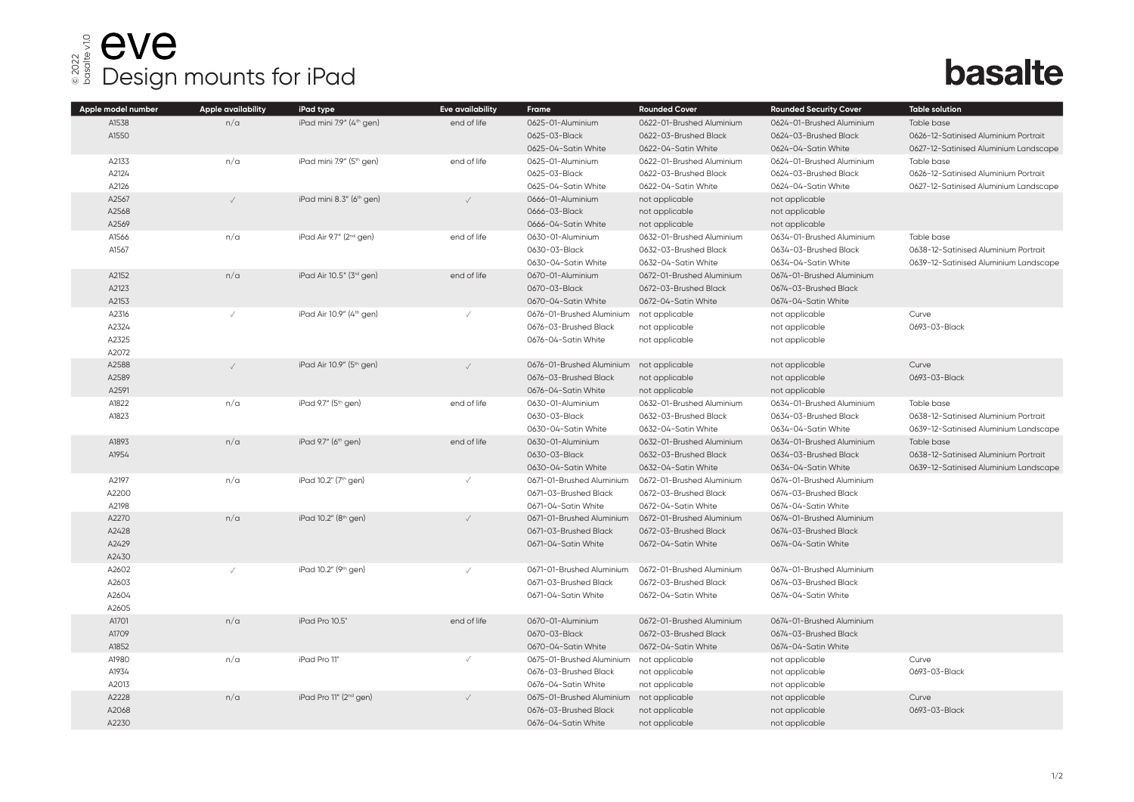## $\frac{1}{88}$   $\frac{1}{8}$  Design mounts for iPad basalte v1.0

## basalte

| Apple model number | <b>Apple availability</b> | iPad type                           | <b>Eve availability</b> | Frame                     | <b>Rounded Cover</b>      | <b>Rounded Security Cover</b> | <b>Table solution</b>                 |
|--------------------|---------------------------|-------------------------------------|-------------------------|---------------------------|---------------------------|-------------------------------|---------------------------------------|
| A1538              | n/a                       | iPad mini 7.9" (4th gen)            | end of life             | 0625-01-Aluminium         | 0622-01-Brushed Aluminium | 0624-01-Brushed Aluminium     | Table base                            |
| A1550              |                           |                                     |                         | 0625-03-Black             | 0622-03-Brushed Black     | 0624-03-Brushed Black         | 0626-12-Satinised Aluminium Portrait  |
|                    |                           |                                     |                         | 0625-04-Satin White       | 0622-04-Satin White       | 0624-04-Satin White           | 0627-12-Satinised Aluminium Landscape |
| A2133              | n/a                       | iPad mini 7.9" (5th gen)            | end of life             | 0625-01-Aluminium         | 0622-01-Brushed Aluminium | 0624-01-Brushed Aluminium     | Table base                            |
| A2124              |                           |                                     |                         | 0625-03-Black             | 0622-03-Brushed Black     | 0624-03-Brushed Black         | 0626-12-Satinised Aluminium Portrait  |
| A2126              |                           |                                     |                         | 0625-04-Satin White       | 0622-04-Satin White       | 0624-04-Satin White           | 0627-12-Satinised Aluminium Landscape |
| A2567              | $\checkmark$              | iPad mini 8.3" (6th gen)            | $\sqrt{ }$              | 0666-01-Aluminium         | not applicable            | not applicable                |                                       |
| A2568              |                           |                                     |                         | 0666-03-Black             | not applicable            | not applicable                |                                       |
| A2569              |                           |                                     |                         | 0666-04-Satin White       | not applicable            | not applicable                |                                       |
| A1566              | n/a                       | iPad Air 9.7" (2 <sup>nd</sup> gen) | end of life             | 0630-01-Aluminium         | 0632-01-Brushed Aluminium | 0634-01-Brushed Aluminium     | Table base                            |
| A1567              |                           |                                     |                         | 0630-03-Black             | 0632-03-Brushed Black     | 0634-03-Brushed Black         | 0638-12-Satinised Aluminium Portrait  |
|                    |                           |                                     |                         | 0630-04-Satin White       | 0632-04-Satin White       | 0634-04-Satin White           | 0639-12-Satinised Aluminium Landscape |
| A2152              | n/a                       | iPad Air 10.5" (3rd gen)            | end of life             | 0670-01-Aluminium         | 0672-01-Brushed Aluminium | 0674-01-Brushed Aluminium     |                                       |
| A2123              |                           |                                     |                         | 0670-03-Black             | 0672-03-Brushed Black     | 0674-03-Brushed Black         |                                       |
| A2153              |                           |                                     |                         | 0670-04-Satin White       | 0672-04-Satin White       | 0674-04-Satin White           |                                       |
| A2316              | $\checkmark$              | iPad Air 10.9" (4th gen)            |                         | 0676-01-Brushed Aluminium | not applicable            | not applicable                | Curve                                 |
| A2324              |                           |                                     |                         | 0676-03-Brushed Black     | not applicable            | not applicable                | 0693-03-Black                         |
| A2325              |                           |                                     |                         | 0676-04-Satin White       | not applicable            | not applicable                |                                       |
| A2072              |                           |                                     |                         |                           |                           |                               |                                       |
| A2588              | $\checkmark$              | iPad Air 10.9" (5th gen)            |                         | 0676-01-Brushed Aluminium | not applicable            | not applicable                | Curve                                 |
| A2589              |                           |                                     |                         | 0676-03-Brushed Black     | not applicable            | not applicable                | 0693-03-Black                         |
| A2591              |                           |                                     |                         | 0676-04-Satin White       | not applicable            | not applicable                |                                       |
| A1822              | n/a                       | iPad 9.7" (5th gen)                 | end of life             | 0630-01-Aluminium         | 0632-01-Brushed Aluminium | 0634-01-Brushed Aluminium     | Table base                            |
| A1823              |                           |                                     |                         | 0630-03-Black             | 0632-03-Brushed Black     | 0634-03-Brushed Black         | 0638-12-Satinised Aluminium Portrait  |
|                    |                           |                                     |                         | 0630-04-Satin White       | 0632-04-Satin White       | 0634-04-Satin White           | 0639-12-Satinised Aluminium Landscape |
| A1893              | n/a                       | iPad 9.7" (6th gen)                 | end of life             | 0630-01-Aluminium         | 0632-01-Brushed Aluminium | 0634-01-Brushed Aluminium     | Table base                            |
| A1954              |                           |                                     |                         | 0630-03-Black             | 0632-03-Brushed Black     | 0634-03-Brushed Black         | 0638-12-Satinised Aluminium Portrait  |
|                    |                           |                                     |                         | 0630-04-Satin White       | 0632-04-Satin White       | 0634-04-Satin White           | 0639-12-Satinised Aluminium Landscape |
| A2197              | n/a                       | iPad 10.2" (7th gen)                |                         | 0671-01-Brushed Aluminium | 0672-01-Brushed Aluminium | 0674-01-Brushed Aluminium     |                                       |
| A2200              |                           |                                     |                         | 0671-03-Brushed Black     | 0672-03-Brushed Black     | 0674-03-Brushed Black         |                                       |
| A2198              |                           |                                     |                         | 0671-04-Satin White       | 0672-04-Satin White       | 0674-04-Satin White           |                                       |
| A2270              | n/a                       | iPad 10.2" (8th gen)                |                         | 0671-01-Brushed Aluminium | 0672-01-Brushed Aluminium | 0674-01-Brushed Aluminium     |                                       |
| A2428              |                           |                                     |                         | 0671-03-Brushed Black     | 0672-03-Brushed Black     | 0674-03-Brushed Black         |                                       |
| A2429              |                           |                                     |                         | 0671-04-Satin White       | 0672-04-Satin White       | 0674-04-Satin White           |                                       |
| A2430              |                           |                                     |                         |                           |                           |                               |                                       |
| A2602              | $\checkmark$              | iPad 10.2" (9th gen)                | $\checkmark$            | 0671-01-Brushed Aluminium | 0672-01-Brushed Aluminium | 0674-01-Brushed Aluminium     |                                       |
| A2603              |                           |                                     |                         | 0671-03-Brushed Black     | 0672-03-Brushed Black     | 0674-03-Brushed Black         |                                       |
| A2604              |                           |                                     |                         | 0671-04-Satin White       | 0672-04-Satin White       | 0674-04-Satin White           |                                       |
| A2605              |                           |                                     |                         |                           |                           |                               |                                       |
| A1701              | n/a                       | iPad Pro 10.5"                      | end of life             | 0670-01-Aluminium         | 0672-01-Brushed Aluminium | 0674-01-Brushed Aluminium     |                                       |
| A1709              |                           |                                     |                         | 0670-03-Black             | 0672-03-Brushed Black     | 0674-03-Brushed Black         |                                       |
| A1852              |                           |                                     |                         | 0670-04-Satin White       | 0672-04-Satin White       | 0674-04-Satin White           |                                       |
| A1980              | n/a                       | iPad Pro 11"                        |                         | 0675-01-Brushed Aluminium | not applicable            | not applicable                | Curve                                 |
| A1934              |                           |                                     |                         | 0676-03-Brushed Black     | not applicable            | not applicable                | 0693-03-Black                         |
| A2013              |                           |                                     |                         | 0676-04-Satin White       | not applicable            | not applicable                |                                       |
| A2228              | n/a                       | iPad Pro 11" (2 <sup>nd</sup> gen)  | $\sqrt{ }$              | 0675-01-Brushed Aluminium | not applicable            | not applicable                | Curve                                 |
| A2068              |                           |                                     |                         | 0676-03-Brushed Black     | not applicable            | not applicable                | 0693-03-Black                         |
| A2230              |                           |                                     |                         | 0676-04-Satin White       | not applicable            | not applicable                |                                       |